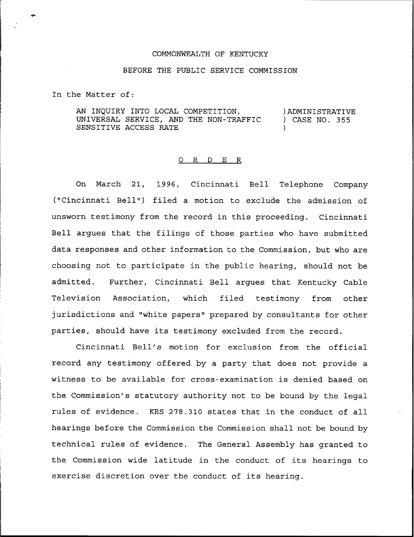## COMMONWEALTH OF KENTUCKY

## BEFORE THE PUBLIC SERVICE COMMISSION

In the Matter of:

AN INQUIRY INTO LOCAL COMPETITION, UNIVERSAL SERVICE, AND THE NON-TRAFFIC SENSITIVE ACCESS RATE )ADMINISTRATIVE ) CASE NO. 355 )

## 0 <sup>R</sup> <sup>D</sup> E R

On March 21, 1996, Cincinnati Bell Telephone Company ("Cincinnati Bell") filed a motion to exclude the admission of unsworn testimony from the record in this proceeding. Cincinnati Bell argues that the filings of those parties who have submitted data responses and other information to the Commission, but who are choosing not to participate in the public hearing, should not be admitted. Further, Cincinnati Bell argues that Kentucky Cable Television Association, which filed testimony from other jurisdictions and "white papers" prepared by consultants for other parties, should have its testimony excluded from the record.

Cincinnati Bell's motion for exclusion from the official record any testimony offered by a party that does not provide a witness to be available for cross-examination is denied based on the Commission's statutory authority not to be bound by the legal rules of evidence. KRS 278.310 states that in the conduct of all hearings before the Commission the Commission shall not be bound by technical rules of evidence. The General Assembly has granted to the Commission wide latitude in the conduct of its hearings to exercise discretion over the conduct of its hearing.